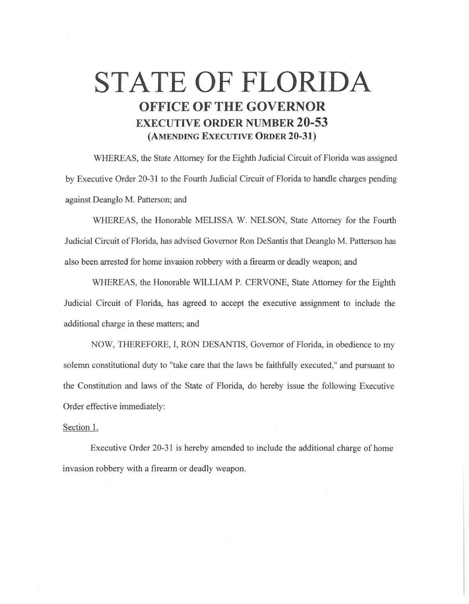## **STATE OF FLORIDA OFFICE OF THE GOVERNOR EXECUTIVE ORDER NUMBER 20-53 (AMENDING EXECUTIVE ORDER 20-31)**

WHEREAS, the State Attorney for the Eighth Judicial Circuit of Florida was assigned by Executive Order 20-31 to the Fourth Judicial Circuit of Florida to handle charges pending against Deanglo M. Patterson; and

WHEREAS, the Honorable MELISSA W. NELSON, State Attorney for the Fourth Judicial Circuit of Florida, has advised Governor Ron DeSantis that Deanglo M. Patterson has also been arrested for home invasion robbery with a firearm or deadly weapon; and

WHEREAS, the Honorable WJLLIAM P. CERVONE, State Attorney for the Eighth Judicial Circuit of Florida, has agreed to accept the executive assignment to include the additional charge in these matters; and

NOW, THEREFORE, I, RON DESANTIS, Governor of Florida, in obedience to my solemn constitutional duty to "take care that the laws be faithfully executed," and pursuant to the Constitution and laws of the State of Florida, do hereby issue the following Executive Order effective immediately:

## Section I.

Executive Order 20-31 is hereby amended to include the additional charge of home invasion robbery with a firearm or deadly weapon.